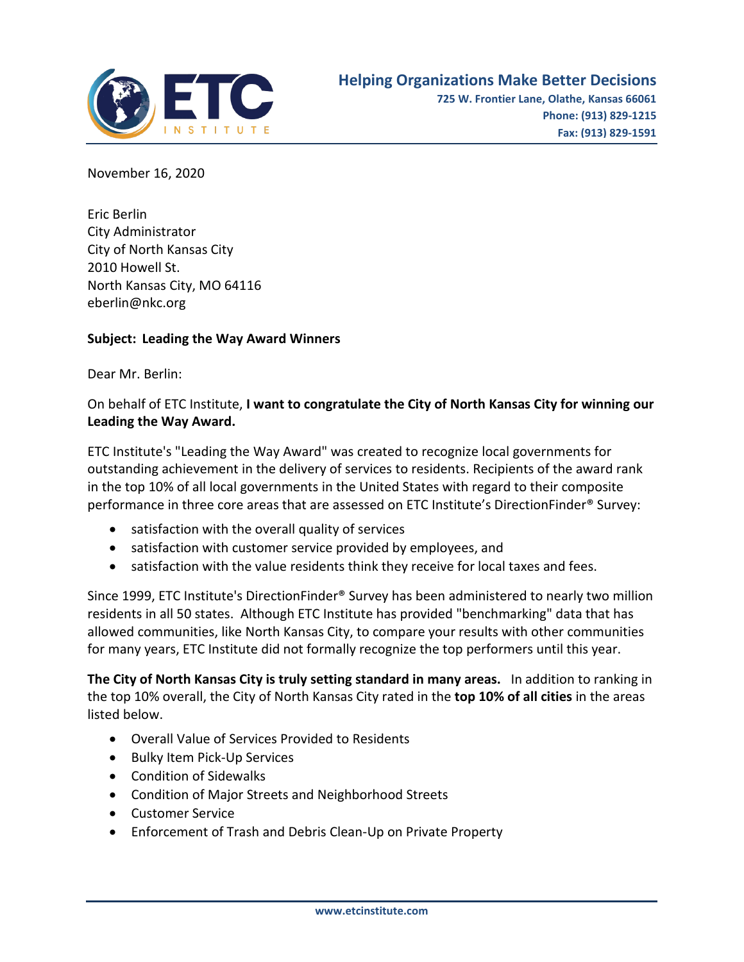

November 16, 2020

Eric Berlin City Administrator City of North Kansas City 2010 Howell St. North Kansas City, MO 64116 eberlin@nkc.org

## **Subject: Leading the Way Award Winners**

Dear Mr. Berlin:

## On behalf of ETC Institute, **I want to congratulate the City of North Kansas City for winning our Leading the Way Award.**

ETC Institute's "Leading the Way Award" was created to recognize local governments for outstanding achievement in the delivery of services to residents. Recipients of the award rank in the top 10% of all local governments in the United States with regard to their composite performance in three core areas that are assessed on ETC Institute's DirectionFinder® Survey:

- satisfaction with the overall quality of services
- satisfaction with customer service provided by employees, and
- satisfaction with the value residents think they receive for local taxes and fees.

Since 1999, ETC Institute's DirectionFinder® Survey has been administered to nearly two million residents in all 50 states. Although ETC Institute has provided "benchmarking" data that has allowed communities, like North Kansas City, to compare your results with other communities for many years, ETC Institute did not formally recognize the top performers until this year.

**The City of North Kansas City is truly setting standard in many areas.** In addition to ranking in the top 10% overall, the City of North Kansas City rated in the **top 10% of all cities** in the areas listed below.

- Overall Value of Services Provided to Residents
- Bulky Item Pick-Up Services
- Condition of Sidewalks
- Condition of Major Streets and Neighborhood Streets
- Customer Service
- Enforcement of Trash and Debris Clean-Up on Private Property